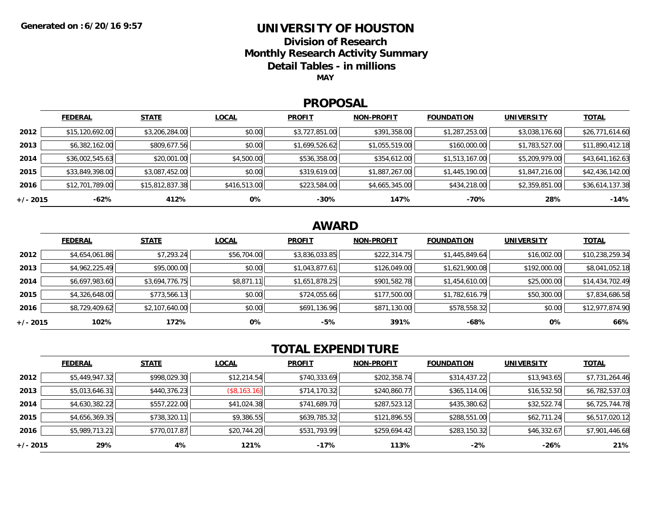### **UNIVERSITY OF HOUSTON**

**Division of Research**

**Monthly Research Activity Summary**

**Detail Tables - in millions**

**MAY**

#### **PROPOSAL**

|            | <b>FEDERAL</b>  | <b>STATE</b>    | <b>LOCAL</b> | <b>PROFIT</b>  | <b>NON-PROFIT</b> | <b>FOUNDATION</b> | <b>UNIVERSITY</b> | <b>TOTAL</b>    |
|------------|-----------------|-----------------|--------------|----------------|-------------------|-------------------|-------------------|-----------------|
| 2012       | \$15,120,692.00 | \$3,206,284.00  | \$0.00       | \$3,727,851.00 | \$391,358.00      | \$1,287,253.00    | \$3,038,176.60    | \$26,771,614.60 |
| 2013       | \$6,382,162.00  | \$809,677.56    | \$0.00       | \$1,699,526.62 | \$1,055,519.00    | \$160,000.00      | \$1,783,527.00    | \$11,890,412.18 |
| 2014       | \$36,002,545.63 | \$20,001.00     | \$4,500.00   | \$536,358.00   | \$354,612.00      | \$1,513,167.00    | \$5,209,979.00    | \$43,641,162.63 |
| 2015       | \$33,849,398.00 | \$3,087,452.00  | \$0.00       | \$319,619.00   | \$1,887,267.00    | \$1,445,190.00    | \$1,847,216.00    | \$42,436,142.00 |
| 2016       | \$12,701,789.00 | \$15,812,837.38 | \$416,513.00 | \$223,584.00   | \$4,665,345.00    | \$434,218.00      | \$2,359,851.00    | \$36,614,137.38 |
| $+/- 2015$ | -62%            | 412%            | 0%           | $-30%$         | 147%              | -70%              | 28%               | $-14%$          |

## **AWARD**

|            | <b>FEDERAL</b> | <b>STATE</b>   | <b>LOCAL</b> | <b>PROFIT</b>  | <b>NON-PROFIT</b> | <b>FOUNDATION</b> | <b>UNIVERSITY</b> | <b>TOTAL</b>    |
|------------|----------------|----------------|--------------|----------------|-------------------|-------------------|-------------------|-----------------|
| 2012       | \$4,654,061.86 | \$7,293.24     | \$56,704.00  | \$3,836,033.85 | \$222,314.75      | \$1,445,849.64    | \$16,002.00       | \$10,238,259.34 |
| 2013       | \$4,962,225.49 | \$95,000.00    | \$0.00       | \$1,043,877.61 | \$126,049.00      | \$1,621,900.08    | \$192,000.00      | \$8,041,052.18  |
| 2014       | \$6,697,983.60 | \$3,694,776.75 | \$8,871.11   | \$1,651,878.25 | \$901,582.78      | \$1,454,610.00    | \$25,000.00       | \$14,434,702.49 |
| 2015       | \$4,326,648.00 | \$773,566.13   | \$0.00       | \$724,055.66   | \$177,500.00      | \$1,782,616.79    | \$50,300.00       | \$7,834,686.58  |
| 2016       | \$8,729,409.62 | \$2,107,640.00 | \$0.00       | \$691,136.96   | \$871,130.00      | \$578,558.32      | \$0.00            | \$12,977,874.90 |
| $+/- 2015$ | 102%           | 172%           | 0%           | -5%            | 391%              | $-68%$            | 0%                | 66%             |

# **TOTAL EXPENDITURE**

|          | <b>FEDERAL</b> | <b>STATE</b> | <b>LOCAL</b> | <b>PROFIT</b> | <b>NON-PROFIT</b> | <b>FOUNDATION</b> | <b>UNIVERSITY</b> | <b>TOTAL</b>   |
|----------|----------------|--------------|--------------|---------------|-------------------|-------------------|-------------------|----------------|
| 2012     | \$5,449,947.32 | \$998,029.30 | \$12,214.54  | \$740,333.69  | \$202,358.74      | \$314,437.22      | \$13,943.65       | \$7,731,264.46 |
| 2013     | \$5,013,646.31 | \$440,376.23 | (\$8,163.16) | \$714,170.32  | \$240,860.77      | \$365,114.06      | \$16,532.50       | \$6,782,537.03 |
| 2014     | \$4,630,382.22 | \$557,222.00 | \$41,024.38  | \$741,689.70  | \$287,523.12      | \$435,380.62      | \$32,522.74       | \$6,725,744.78 |
| 2015     | \$4,656,369.35 | \$738,320.11 | \$9,386.55   | \$639,785.32  | \$121,896.55      | \$288,551.00      | \$62,711.24       | \$6,517,020.12 |
| 2016     | \$5,989,713.21 | \$770,017.87 | \$20,744.20  | \$531,793.99  | \$259,694.42      | \$283,150.32      | \$46,332.67       | \$7,901,446.68 |
| +/- 2015 | 29%            | 4%           | 121%         | -17%          | 113%              | $-2%$             | -26%              | 21%            |